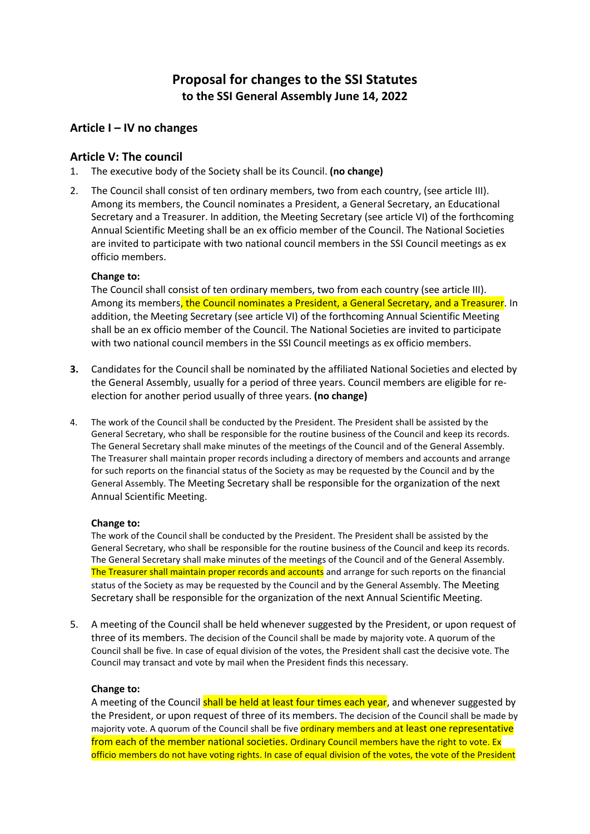# **Proposal for changes to the SSI Statutes to the SSI General Assembly June 14, 2022**

## **Article I – IV no changes**

### **Article V: The council**

- 1. The executive body of the Society shall be its Council. **(no change)**
- 2. The Council shall consist of ten ordinary members, two from each country, (see article III). Among its members, the Council nominates a President, a General Secretary, an Educational Secretary and a Treasurer. In addition, the Meeting Secretary (see article VI) of the forthcoming Annual Scientific Meeting shall be an ex officio member of the Council. The National Societies are invited to participate with two national council members in the SSI Council meetings as ex officio members.

### **Change to:**

The Council shall consist of ten ordinary members, two from each country (see article III). Among its members, the Council nominates a President, a General Secretary, and a Treasurer. In addition, the Meeting Secretary (see article VI) of the forthcoming Annual Scientific Meeting shall be an ex officio member of the Council. The National Societies are invited to participate with two national council members in the SSI Council meetings as ex officio members.

- **3.** Candidates for the Council shall be nominated by the affiliated National Societies and elected by the General Assembly, usually for a period of three years. Council members are eligible for reelection for another period usually of three years. **(no change)**
- 4. The work of the Council shall be conducted by the President. The President shall be assisted by the General Secretary, who shall be responsible for the routine business of the Council and keep its records. The General Secretary shall make minutes of the meetings of the Council and of the General Assembly. The Treasurer shall maintain proper records including a directory of members and accounts and arrange for such reports on the financial status of the Society as may be requested by the Council and by the General Assembly. The Meeting Secretary shall be responsible for the organization of the next Annual Scientific Meeting.

#### **Change to:**

The work of the Council shall be conducted by the President. The President shall be assisted by the General Secretary, who shall be responsible for the routine business of the Council and keep its records. The General Secretary shall make minutes of the meetings of the Council and of the General Assembly. The Treasurer shall maintain proper records and accounts and arrange for such reports on the financial status of the Society as may be requested by the Council and by the General Assembly. The Meeting Secretary shall be responsible for the organization of the next Annual Scientific Meeting.

5. A meeting of the Council shall be held whenever suggested by the President, or upon request of three of its members. The decision of the Council shall be made by majority vote. A quorum of the Council shall be five. In case of equal division of the votes, the President shall cast the decisive vote. The Council may transact and vote by mail when the President finds this necessary.

#### **Change to:**

A meeting of the Council shall be held at least four times each year, and whenever suggested by the President, or upon request of three of its members. The decision of the Council shall be made by majority vote. A quorum of the Council shall be five ordinary members and at least one representative from each of the member national societies. Ordinary Council members have the right to vote. Ex officio members do not have voting rights. In case of equal division of the votes, the vote of the President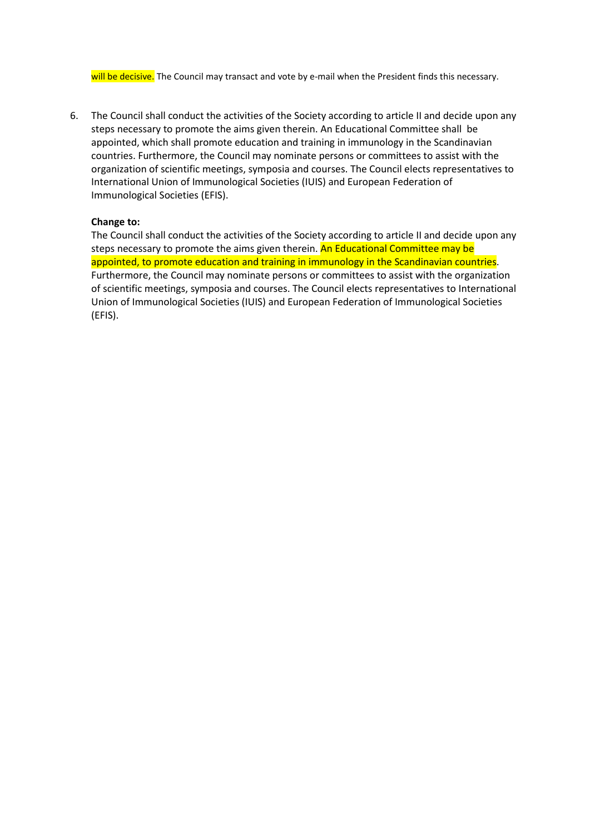will be decisive. The Council may transact and vote by e-mail when the President finds this necessary.

6. The Council shall conduct the activities of the Society according to article II and decide upon any steps necessary to promote the aims given therein. An Educational Committee shall be appointed, which shall promote education and training in immunology in the Scandinavian countries. Furthermore, the Council may nominate persons or committees to assist with the organization of scientific meetings, symposia and courses. The Council elects representatives to International Union of Immunological Societies (IUIS) and European Federation of Immunological Societies (EFIS).

#### **Change to:**

The Council shall conduct the activities of the Society according to article II and decide upon any steps necessary to promote the aims given therein. An Educational Committee may be appointed, to promote education and training in immunology in the Scandinavian countries. Furthermore, the Council may nominate persons or committees to assist with the organization of scientific meetings, symposia and courses. The Council elects representatives to International Union of Immunological Societies (IUIS) and European Federation of Immunological Societies (EFIS).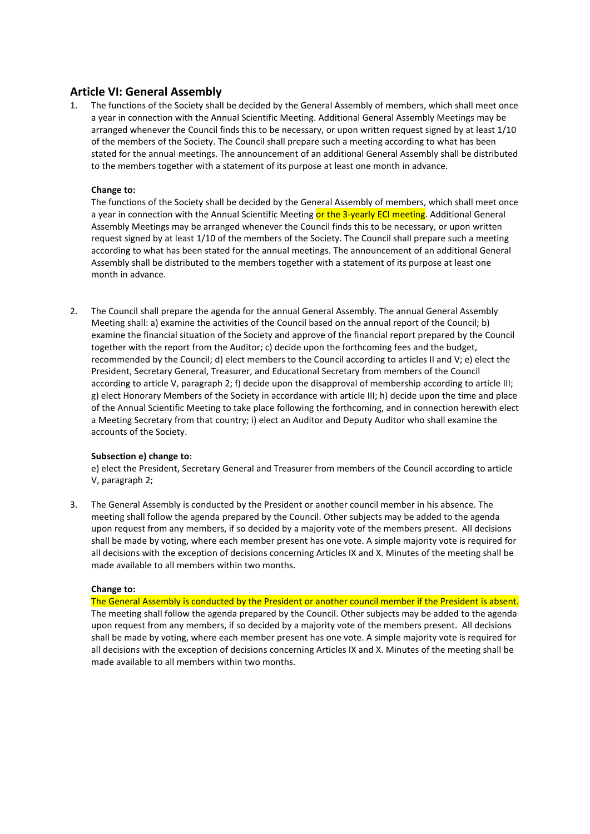### **Article VI: General Assembly**

1. The functions of the Society shall be decided by the General Assembly of members, which shall meet once a year in connection with the Annual Scientific Meeting. Additional General Assembly Meetings may be arranged whenever the Council finds this to be necessary, or upon written request signed by at least 1/10 of the members of the Society. The Council shall prepare such a meeting according to what has been stated for the annual meetings. The announcement of an additional General Assembly shall be distributed to the members together with a statement of its purpose at least one month in advance.

#### **Change to:**

The functions of the Society shall be decided by the General Assembly of members, which shall meet once a year in connection with the Annual Scientific Meeting or the 3-yearly ECI meeting. Additional General Assembly Meetings may be arranged whenever the Council finds this to be necessary, or upon written request signed by at least 1/10 of the members of the Society. The Council shall prepare such a meeting according to what has been stated for the annual meetings. The announcement of an additional General Assembly shall be distributed to the members together with a statement of its purpose at least one month in advance.

2. The Council shall prepare the agenda for the annual General Assembly. The annual General Assembly Meeting shall: a) examine the activities of the Council based on the annual report of the Council; b) examine the financial situation of the Society and approve of the financial report prepared by the Council together with the report from the Auditor; c) decide upon the forthcoming fees and the budget, recommended by the Council; d) elect members to the Council according to articles II and V; e) elect the President, Secretary General, Treasurer, and Educational Secretary from members of the Council according to article V, paragraph 2; f) decide upon the disapproval of membership according to article III; g) elect Honorary Members of the Society in accordance with article III; h) decide upon the time and place of the Annual Scientific Meeting to take place following the forthcoming, and in connection herewith elect a Meeting Secretary from that country; i) elect an Auditor and Deputy Auditor who shall examine the accounts of the Society.

#### **Subsection e) change to**:

e) elect the President, Secretary General and Treasurer from members of the Council according to article V, paragraph 2;

3. The General Assembly is conducted by the President or another council member in his absence. The meeting shall follow the agenda prepared by the Council. Other subjects may be added to the agenda upon request from any members, if so decided by a majority vote of the members present. All decisions shall be made by voting, where each member present has one vote. A simple majority vote is required for all decisions with the exception of decisions concerning Articles IX and X. Minutes of the meeting shall be made available to all members within two months.

#### **Change to:**

The General Assembly is conducted by the President or another council member if the President is absent. The meeting shall follow the agenda prepared by the Council. Other subjects may be added to the agenda upon request from any members, if so decided by a majority vote of the members present. All decisions shall be made by voting, where each member present has one vote. A simple majority vote is required for all decisions with the exception of decisions concerning Articles IX and X. Minutes of the meeting shall be made available to all members within two months.